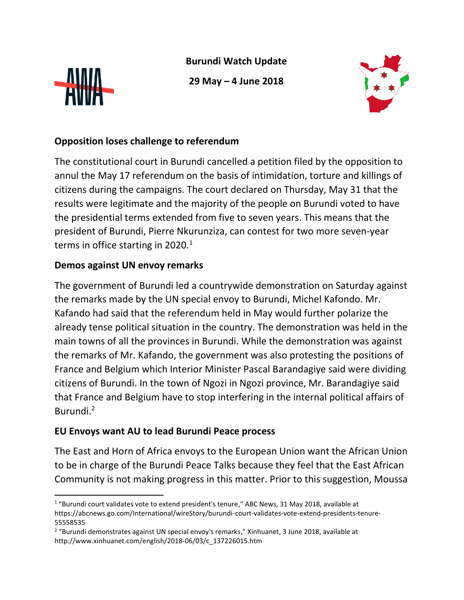

 $\overline{a}$ 

**Burundi Watch Update**

**29 May – 4 June 2018**



## **Opposition loses challenge to referendum**

The constitutional court in Burundi cancelled a petition filed by the opposition to annul the May 17 referendum on the basis of intimidation, torture and killings of citizens during the campaigns. The court declared on Thursday, May 31 that the results were legitimate and the majority of the people on Burundi voted to have the presidential terms extended from five to seven years. This means that the president of Burundi, Pierre Nkurunziza, can contest for two more seven-year terms in office starting in 2020.<sup>1</sup>

## **Demos against UN envoy remarks**

The government of Burundi led a countrywide demonstration on Saturday against the remarks made by the UN special envoy to Burundi, Michel Kafondo. Mr. Kafando had said that the referendum held in May would further polarize the already tense political situation in the country. The demonstration was held in the main towns of all the provinces in Burundi. While the demonstration was against the remarks of Mr. Kafando, the government was also protesting the positions of France and Belgium which Interior Minister Pascal Barandagiye said were dividing citizens of Burundi. In the town of Ngozi in Ngozi province, Mr. Barandagiye said that France and Belgium have to stop interfering in the internal political affairs of Burundi.<sup>2</sup>

## **EU Envoys want AU to lead Burundi Peace process**

The East and Horn of Africa envoys to the European Union want the African Union to be in charge of the Burundi Peace Talks because they feel that the East African Community is not making progress in this matter. Prior to this suggestion, Moussa

 $1$  "Burundi court validates vote to extend president's tenure," ABC News, 31 May 2018, available at https://abcnews.go.com/International/wireStory/burundi-court-validates-vote-extend-presidents-tenure-55558535

<sup>&</sup>lt;sup>2</sup> "Burundi demonstrates against UN special envoy's remarks," Xinhuanet, 3 June 2018, available at http://www.xinhuanet.com/english/2018-06/03/c\_137226015.htm